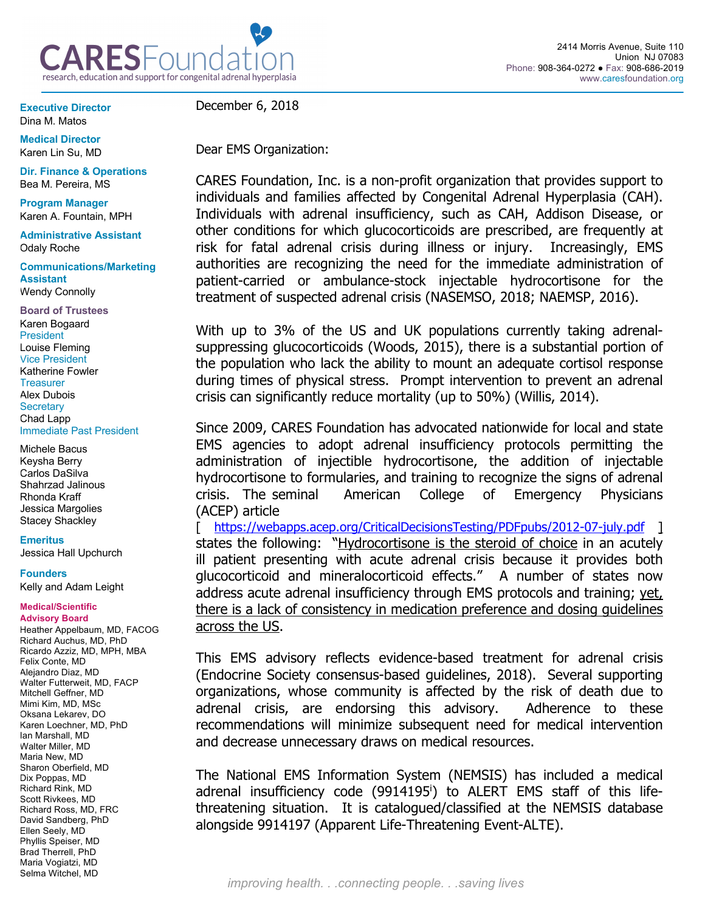

**Executive Director** Dina M. Matos

**Medical Director** Karen Lin Su, MD

**Dir. Finance & Operations** Bea M. Pereira, MS

**Program Manager**  Karen A. Fountain, MPH

**Administrative Assistant** Odaly Roche

**Communications/Marketing Assistant** Wendy Connolly

**Board of Trustees** Karen Bogaard President Louise Fleming Vice President Katherine Fowler **Treasurer** Alex Dubois **Secretary** Chad Lapp Immediate Past President

Michele Bacus Keysha Berry Carlos DaSilva Shahrzad Jalinous Rhonda Kraff Jessica Margolies Stacey Shackley

**Emeritus**

Jessica Hall Upchurch

**Founders**

Kelly and Adam Leight

## **Medical/Scientific Advisory Board**

Heather Appelbaum, MD, FACOG Richard Auchus, MD, PhD Ricardo Azziz, MD, MPH, MBA Felix Conte, MD Alejandro Diaz, MD Walter Futterweit, MD, FACP Mitchell Geffner, MD Mimi Kim, MD, MSc Oksana Lekarev, DO Karen Loechner, MD, PhD Ian Marshall, MD Walter Miller, MD Maria New, MD Sharon Oberfield, MD Dix Poppas, MD Richard Rink, MD Scott Rivkees, MD Richard Ross, MD, FRC David Sandberg, PhD Ellen Seely, MD Phyllis Speiser, MD Brad Therrell, PhD Maria Vogiatzi, MD Selma Witchel, MD

December 6, 2018

Dear EMS Organization:

CARES Foundation, Inc. is a non-profit organization that provides support to individuals and families affected by Congenital Adrenal Hyperplasia (CAH). Individuals with adrenal insufficiency, such as CAH, Addison Disease, or other conditions for which glucocorticoids are prescribed, are frequently at risk for fatal adrenal crisis during illness or injury. Increasingly, EMS authorities are recognizing the need for the immediate administration of patient-carried or ambulance-stock injectable hydrocortisone for the treatment of suspected adrenal crisis (NASEMSO, 2018; NAEMSP, 2016).

With up to 3% of the US and UK populations currently taking adrenalsuppressing glucocorticoids (Woods, 2015), there is a substantial portion of the population who lack the ability to mount an adequate cortisol response during times of physical stress. Prompt intervention to prevent an adrenal crisis can significantly reduce mortality (up to 50%) (Willis, 2014).

Since 2009, CARES Foundation has advocated nationwide for local and state EMS agencies to adopt adrenal insufficiency protocols permitting the administration of injectible hydrocortisone, the addition of injectable hydrocortisone to formularies, and training to recognize the signs of adrenal crisis. The seminal American College of Emergency Physicians (ACEP) article

[ https://webapps.acep.org/CriticalDecisionsTesting/PDFpubs/2012-07-july.pdf ] states the following: "Hydrocortisone is the steroid of choice in an acutely ill patient presenting with acute adrenal crisis because it provides both glucocorticoid and mineralocorticoid effects." A number of states now address acute adrenal insufficiency through EMS protocols and training; yet, there is a lack of consistency in medication preference and dosing guidelines across the US.

This EMS advisory reflects evidence-based treatment for adrenal crisis (Endocrine Society consensus-based guidelines, 2018). Several supporting organizations, whose community is affected by the risk of death due to adrenal crisis, are endorsing this advisory. Adherence to these recommendations will minimize subsequent need for medical intervention and decrease unnecessary draws on medical resources.

The National EMS Information System (NEMSIS) has included a medical adrenal insufficiency code (9914195<sup>i</sup>) to ALERT EMS staff of this lifethreatening situation. It is catalogued/classified at the NEMSIS database alongside 9914197 (Apparent Life-Threatening Event-ALTE).